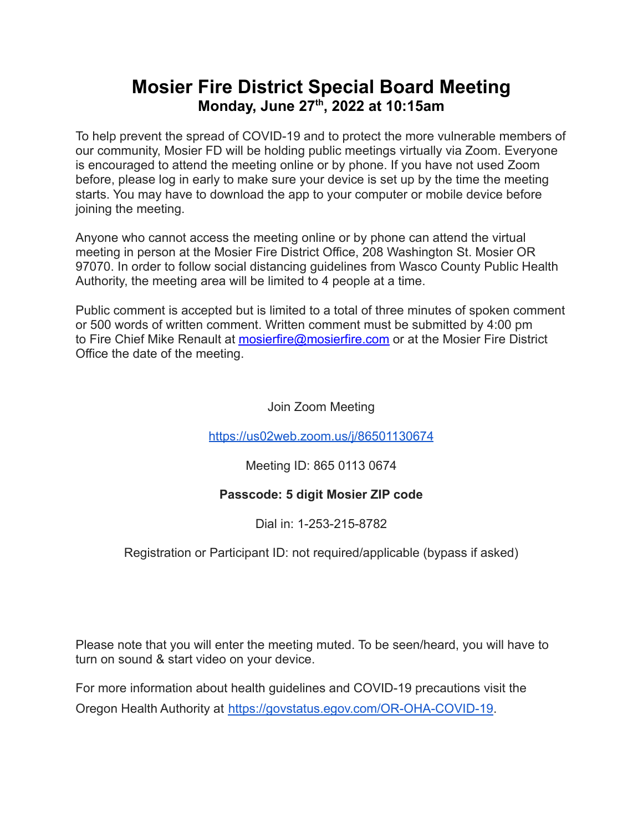## **Mosier Fire District Special Board Meeting Monday, June 27 th , 2022 at 10:15am**

To help prevent the spread of COVID-19 and to protect the more vulnerable members of our community, Mosier FD will be holding public meetings virtually via Zoom. Everyone is encouraged to attend the meeting online or by phone. If you have not used Zoom before, please log in early to make sure your device is set up by the time the meeting starts. You may have to download the app to your computer or mobile device before joining the meeting.

Anyone who cannot access the meeting online or by phone can attend the virtual meeting in person at the Mosier Fire District Office, 208 Washington St. Mosier OR 97070. In order to follow social distancing guidelines from Wasco County Public Health Authority, the meeting area will be limited to 4 people at a time.

Public comment is accepted but is limited to a total of three minutes of spoken comment or 500 words of written comment. Written comment must be submitted by 4:00 pm to Fire Chief Mike Renault at [mosierfire@mosierfire.com](mailto:mosierfire@mosierfire.com) or at the Mosier Fire District Office the date of the meeting.

Join Zoom Meeting

<https://us02web.zoom.us/j/86501130674>

Meeting ID: 865 0113 0674

## **Passcode: 5 digit Mosier ZIP code**

Dial in: 1-253-215-8782

Registration or Participant ID: not required/applicable (bypass if asked)

Please note that you will enter the meeting muted. To be seen/heard, you will have to turn on sound & start video on your device.

For more information about health guidelines and COVID-19 precautions visit the Oregon Health Authority at [https://govstatus.egov.com/OR-OHA-COVID-19.](https://govstatus.egov.com/OR-OHA-COVID-19)